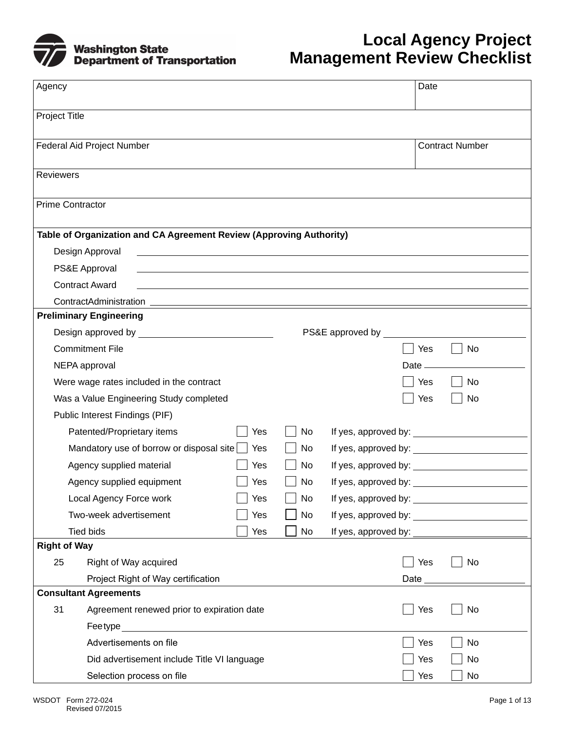

## **Local Agency Project Management Review Checklist**

| Agency                  |                                                                                                                                           |     |    |                               | Date                                                                                                                                                                                                                           |
|-------------------------|-------------------------------------------------------------------------------------------------------------------------------------------|-----|----|-------------------------------|--------------------------------------------------------------------------------------------------------------------------------------------------------------------------------------------------------------------------------|
| Project Title           |                                                                                                                                           |     |    |                               |                                                                                                                                                                                                                                |
|                         | Federal Aid Project Number                                                                                                                |     |    |                               | <b>Contract Number</b>                                                                                                                                                                                                         |
| <b>Reviewers</b>        |                                                                                                                                           |     |    |                               |                                                                                                                                                                                                                                |
| <b>Prime Contractor</b> |                                                                                                                                           |     |    |                               |                                                                                                                                                                                                                                |
|                         | Table of Organization and CA Agreement Review (Approving Authority)                                                                       |     |    |                               |                                                                                                                                                                                                                                |
|                         | Design Approval                                                                                                                           |     |    |                               |                                                                                                                                                                                                                                |
|                         | PS&E Approval                                                                                                                             |     |    |                               |                                                                                                                                                                                                                                |
|                         | <b>Contract Award</b><br>and the control of the control of the control of the control of the control of the control of the control of the |     |    |                               |                                                                                                                                                                                                                                |
|                         |                                                                                                                                           |     |    |                               |                                                                                                                                                                                                                                |
|                         | <b>Preliminary Engineering</b>                                                                                                            |     |    |                               |                                                                                                                                                                                                                                |
|                         |                                                                                                                                           |     |    | PS&E approved by ____________ |                                                                                                                                                                                                                                |
|                         | <b>Commitment File</b>                                                                                                                    |     |    |                               | Yes<br><b>No</b>                                                                                                                                                                                                               |
|                         | NEPA approval                                                                                                                             |     |    |                               | Date $\_\_\_\_\$                                                                                                                                                                                                               |
|                         | Were wage rates included in the contract                                                                                                  |     |    |                               | Yes<br>No                                                                                                                                                                                                                      |
|                         | Was a Value Engineering Study completed                                                                                                   |     |    |                               | Yes<br>No                                                                                                                                                                                                                      |
|                         | Public Interest Findings (PIF)                                                                                                            |     |    |                               |                                                                                                                                                                                                                                |
|                         | Patented/Proprietary items                                                                                                                | Yes | No |                               |                                                                                                                                                                                                                                |
|                         | Mandatory use of borrow or disposal site                                                                                                  | Yes | No |                               |                                                                                                                                                                                                                                |
|                         | Agency supplied material                                                                                                                  | Yes | No |                               |                                                                                                                                                                                                                                |
|                         | Agency supplied equipment                                                                                                                 | Yes | No |                               |                                                                                                                                                                                                                                |
|                         | Local Agency Force work                                                                                                                   | Yes | No |                               |                                                                                                                                                                                                                                |
|                         | Two-week advertisement                                                                                                                    | Yes | No |                               |                                                                                                                                                                                                                                |
|                         | <b>Tied bids</b>                                                                                                                          | Yes | No |                               | If yes, approved by: The state of the state of the state of the state of the state of the state of the state of the state of the state of the state of the state of the state of the state of the state of the state of the st |
| <b>Right of Way</b>     |                                                                                                                                           |     |    |                               |                                                                                                                                                                                                                                |
| 25                      | Right of Way acquired                                                                                                                     |     |    |                               | Yes<br>No                                                                                                                                                                                                                      |
|                         | Project Right of Way certification                                                                                                        |     |    |                               | Date ______________                                                                                                                                                                                                            |
|                         | <b>Consultant Agreements</b>                                                                                                              |     |    |                               |                                                                                                                                                                                                                                |
| 31                      | Agreement renewed prior to expiration date                                                                                                |     |    |                               | Yes<br>No                                                                                                                                                                                                                      |
|                         |                                                                                                                                           |     |    |                               |                                                                                                                                                                                                                                |
|                         | Advertisements on file                                                                                                                    |     |    |                               | Yes<br>No                                                                                                                                                                                                                      |
|                         | Did advertisement include Title VI language                                                                                               |     |    |                               | Yes<br>No                                                                                                                                                                                                                      |
|                         | Selection process on file                                                                                                                 |     |    |                               | Yes<br>No                                                                                                                                                                                                                      |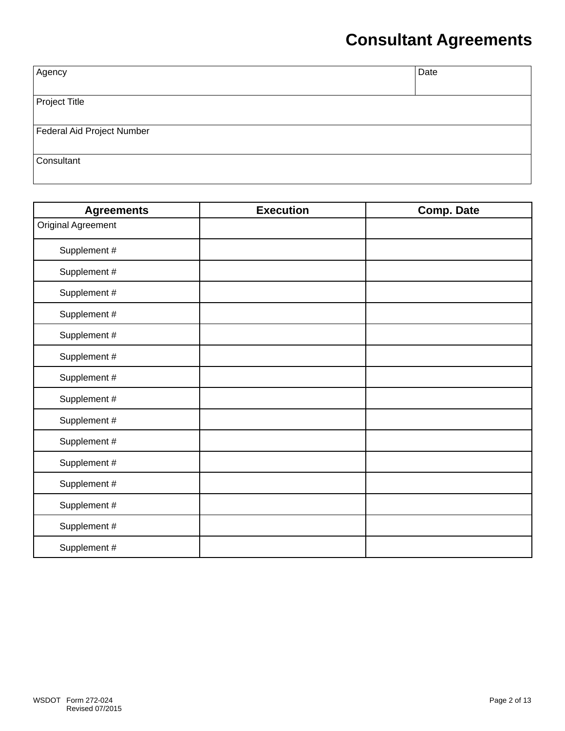# **Consultant Agreements**

| Agency                     | Date |
|----------------------------|------|
|                            |      |
| Project Title              |      |
|                            |      |
|                            |      |
| Federal Aid Project Number |      |
|                            |      |
|                            |      |
| Consultant                 |      |
|                            |      |
|                            |      |

| <b>Agreements</b>         | <b>Execution</b> | <b>Comp. Date</b> |
|---------------------------|------------------|-------------------|
| <b>Original Agreement</b> |                  |                   |
| Supplement #              |                  |                   |
| Supplement #              |                  |                   |
| Supplement #              |                  |                   |
| Supplement #              |                  |                   |
| Supplement #              |                  |                   |
| Supplement #              |                  |                   |
| Supplement #              |                  |                   |
| Supplement #              |                  |                   |
| Supplement #              |                  |                   |
| Supplement #              |                  |                   |
| Supplement #              |                  |                   |
| Supplement #              |                  |                   |
| Supplement #              |                  |                   |
| Supplement #              |                  |                   |
| Supplement #              |                  |                   |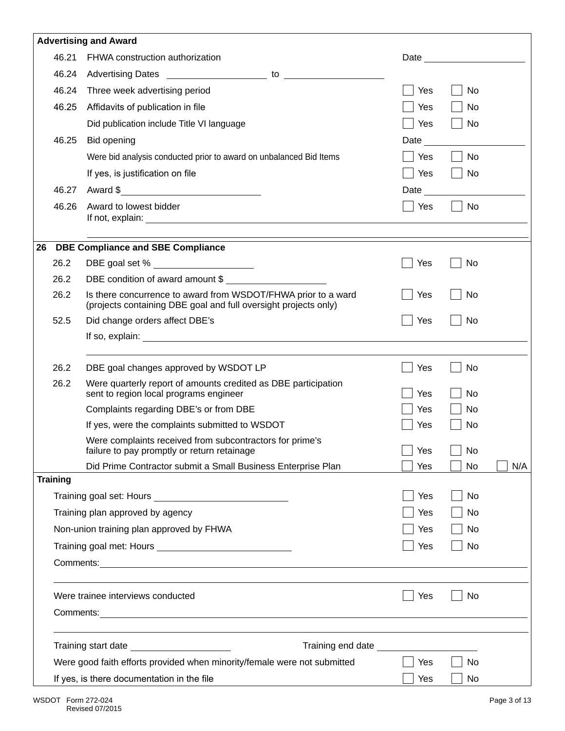|    |                 | <b>Advertising and Award</b>                                                                                                     |      |                                                                                                                                                                                                                                |     |
|----|-----------------|----------------------------------------------------------------------------------------------------------------------------------|------|--------------------------------------------------------------------------------------------------------------------------------------------------------------------------------------------------------------------------------|-----|
|    | 46.21           | FHWA construction authorization                                                                                                  |      | Date and the state of the state of the state of the state of the state of the state of the state of the state of the state of the state of the state of the state of the state of the state of the state of the state of the s |     |
|    | 46.24           |                                                                                                                                  |      |                                                                                                                                                                                                                                |     |
|    | 46.24           | Three week advertising period                                                                                                    | Yes  | No                                                                                                                                                                                                                             |     |
|    | 46.25           | Affidavits of publication in file                                                                                                | Yes  | No                                                                                                                                                                                                                             |     |
|    |                 | Did publication include Title VI language                                                                                        | Yes  | No                                                                                                                                                                                                                             |     |
|    | 46.25           | Bid opening                                                                                                                      | Date |                                                                                                                                                                                                                                |     |
|    |                 | Were bid analysis conducted prior to award on unbalanced Bid Items                                                               | Yes  | <b>No</b>                                                                                                                                                                                                                      |     |
|    |                 | If yes, is justification on file                                                                                                 | Yes  | <b>No</b>                                                                                                                                                                                                                      |     |
|    | 46.27           | Award \$                                                                                                                         | Date |                                                                                                                                                                                                                                |     |
|    | 46.26           | Award to lowest bidder                                                                                                           | Yes  | No                                                                                                                                                                                                                             |     |
| 26 |                 | <b>DBE Compliance and SBE Compliance</b>                                                                                         |      |                                                                                                                                                                                                                                |     |
|    | 26.2            | DBE goal set % _____________________                                                                                             | Yes  | No                                                                                                                                                                                                                             |     |
|    | 26.2            | DBE condition of award amount \$                                                                                                 |      |                                                                                                                                                                                                                                |     |
|    | 26.2            | Is there concurrence to award from WSDOT/FHWA prior to a ward<br>(projects containing DBE goal and full oversight projects only) | Yes  | No                                                                                                                                                                                                                             |     |
|    | 52.5            | Did change orders affect DBE's                                                                                                   | Yes  | No                                                                                                                                                                                                                             |     |
|    |                 |                                                                                                                                  |      |                                                                                                                                                                                                                                |     |
|    |                 |                                                                                                                                  |      |                                                                                                                                                                                                                                |     |
|    | 26.2            | DBE goal changes approved by WSDOT LP                                                                                            | Yes  | No                                                                                                                                                                                                                             |     |
|    | 26.2            | Were quarterly report of amounts credited as DBE participation<br>sent to region local programs engineer                         | Yes  | No                                                                                                                                                                                                                             |     |
|    |                 | Complaints regarding DBE's or from DBE                                                                                           | Yes  | No                                                                                                                                                                                                                             |     |
|    |                 | If yes, were the complaints submitted to WSDOT                                                                                   | Yes  | <b>No</b>                                                                                                                                                                                                                      |     |
|    |                 | Were complaints received from subcontractors for prime's<br>failure to pay promptly or return retainage                          | Yes  | $\Box$<br>No                                                                                                                                                                                                                   |     |
|    |                 | Did Prime Contractor submit a Small Business Enterprise Plan                                                                     | Yes  | No                                                                                                                                                                                                                             | N/A |
|    | <b>Training</b> |                                                                                                                                  |      |                                                                                                                                                                                                                                |     |
|    |                 |                                                                                                                                  | Yes  | No                                                                                                                                                                                                                             |     |
|    |                 | Training plan approved by agency                                                                                                 | Yes  | No                                                                                                                                                                                                                             |     |
|    |                 | Non-union training plan approved by FHWA                                                                                         | Yes  | No                                                                                                                                                                                                                             |     |
|    |                 |                                                                                                                                  | Yes  | No                                                                                                                                                                                                                             |     |
|    |                 |                                                                                                                                  |      |                                                                                                                                                                                                                                |     |
|    |                 | Were trainee interviews conducted                                                                                                | Yes  | No                                                                                                                                                                                                                             |     |
|    |                 |                                                                                                                                  |      |                                                                                                                                                                                                                                |     |
|    |                 | Training end date ________<br>Training start date ______________________                                                         |      |                                                                                                                                                                                                                                |     |
|    |                 | Were good faith efforts provided when minority/female were not submitted                                                         | Yes  | No                                                                                                                                                                                                                             |     |
|    |                 | If yes, is there documentation in the file                                                                                       | Yes  | No                                                                                                                                                                                                                             |     |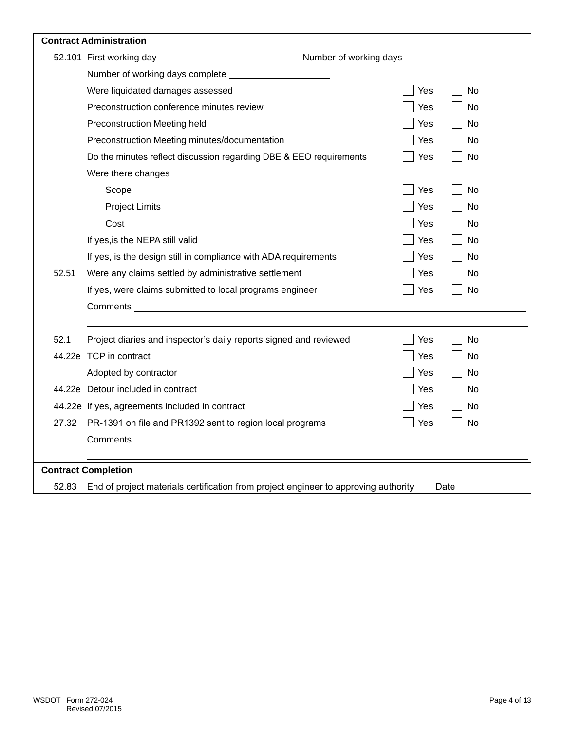|       | <b>Contract Administration</b>                                                      |                        |           |
|-------|-------------------------------------------------------------------------------------|------------------------|-----------|
|       |                                                                                     | Number of working days |           |
|       | Number of working days complete                                                     |                        |           |
|       | Were liquidated damages assessed                                                    | Yes                    | No        |
|       | Preconstruction conference minutes review                                           | Yes                    | No        |
|       | Preconstruction Meeting held                                                        | Yes                    | No        |
|       | Preconstruction Meeting minutes/documentation                                       | Yes                    | No        |
|       | Do the minutes reflect discussion regarding DBE & EEO requirements                  | Yes                    | <b>No</b> |
|       | Were there changes                                                                  |                        |           |
|       | Scope                                                                               | Yes                    | <b>No</b> |
|       | <b>Project Limits</b>                                                               | Yes                    | <b>No</b> |
|       | Cost                                                                                | Yes                    | <b>No</b> |
|       | If yes, is the NEPA still valid                                                     | Yes                    | No        |
|       | If yes, is the design still in compliance with ADA requirements                     | Yes                    | <b>No</b> |
| 52.51 | Were any claims settled by administrative settlement                                | Yes                    | No        |
|       | If yes, were claims submitted to local programs engineer                            | Yes                    | No        |
|       | <b>Comments Comments Comments</b>                                                   |                        |           |
| 52.1  | Project diaries and inspector's daily reports signed and reviewed                   | Yes                    | <b>No</b> |
|       | 44.22e TCP in contract                                                              | Yes                    | <b>No</b> |
|       | Adopted by contractor                                                               | Yes                    | No        |
|       | 44.22e Detour included in contract                                                  | Yes                    | No        |
|       | 44.22e If yes, agreements included in contract                                      | Yes                    | No        |
| 27.32 | PR-1391 on file and PR1392 sent to region local programs                            | Yes                    | <b>No</b> |
|       |                                                                                     |                        |           |
|       |                                                                                     |                        |           |
|       | <b>Contract Completion</b>                                                          |                        |           |
| 52.83 | End of project materials certification from project engineer to approving authority |                        | Date      |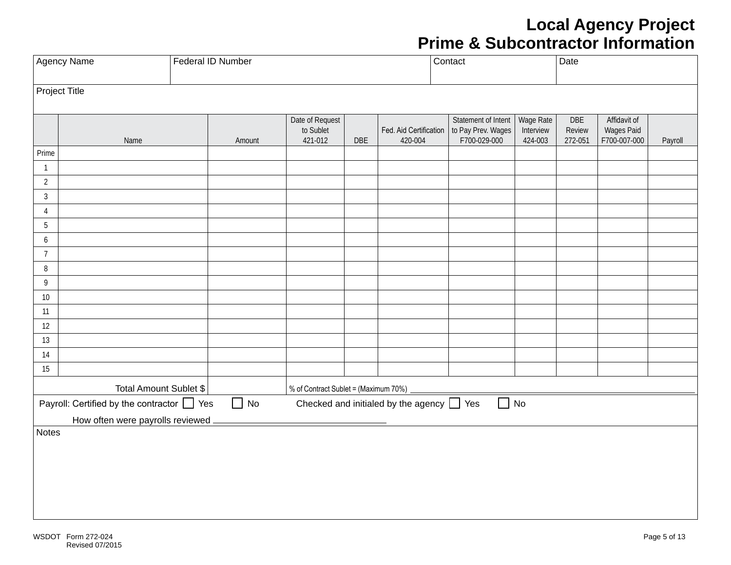#### **Local Agency Project Prime & Subcontractor Information**

|                              | Agency Name<br>Federal ID Number                |  |           |                                         |     | Contact                                        |                                                           | Date                              |                          |                                            |         |
|------------------------------|-------------------------------------------------|--|-----------|-----------------------------------------|-----|------------------------------------------------|-----------------------------------------------------------|-----------------------------------|--------------------------|--------------------------------------------|---------|
| Project Title                |                                                 |  |           |                                         |     |                                                |                                                           |                                   |                          |                                            |         |
|                              | Name                                            |  | Amount    | Date of Request<br>to Sublet<br>421-012 | DBE | Fed. Aid Certification<br>420-004              | Statement of Intent<br>to Pay Prev. Wages<br>F700-029-000 | Wage Rate<br>Interview<br>424-003 | DBE<br>Review<br>272-051 | Affidavit of<br>Wages Paid<br>F700-007-000 | Payroll |
| Prime                        |                                                 |  |           |                                         |     |                                                |                                                           |                                   |                          |                                            |         |
| $\mathbf{1}$                 |                                                 |  |           |                                         |     |                                                |                                                           |                                   |                          |                                            |         |
| $\overline{2}$               |                                                 |  |           |                                         |     |                                                |                                                           |                                   |                          |                                            |         |
| $\sqrt{3}$                   |                                                 |  |           |                                         |     |                                                |                                                           |                                   |                          |                                            |         |
| $\overline{4}$<br>$\sqrt{5}$ |                                                 |  |           |                                         |     |                                                |                                                           |                                   |                          |                                            |         |
| $\boldsymbol{6}$             |                                                 |  |           |                                         |     |                                                |                                                           |                                   |                          |                                            |         |
| $\overline{7}$               |                                                 |  |           |                                         |     |                                                |                                                           |                                   |                          |                                            |         |
| $\, 8$                       |                                                 |  |           |                                         |     |                                                |                                                           |                                   |                          |                                            |         |
| $\overline{9}$               |                                                 |  |           |                                         |     |                                                |                                                           |                                   |                          |                                            |         |
| 10                           |                                                 |  |           |                                         |     |                                                |                                                           |                                   |                          |                                            |         |
| 11                           |                                                 |  |           |                                         |     |                                                |                                                           |                                   |                          |                                            |         |
| 12                           |                                                 |  |           |                                         |     |                                                |                                                           |                                   |                          |                                            |         |
| 13                           |                                                 |  |           |                                         |     |                                                |                                                           |                                   |                          |                                            |         |
| 14                           |                                                 |  |           |                                         |     |                                                |                                                           |                                   |                          |                                            |         |
| 15                           |                                                 |  |           |                                         |     |                                                |                                                           |                                   |                          |                                            |         |
|                              | Total Amount Sublet \$                          |  |           | % of Contract Sublet = (Maximum 70%)    |     |                                                |                                                           |                                   |                          |                                            |         |
|                              | Payroll: Certified by the contractor $\Box$ Yes |  | $\Box$ No |                                         |     | Checked and initialed by the agency $\Box$ Yes | $\Box$ No                                                 |                                   |                          |                                            |         |
|                              | How often were payrolls reviewed _              |  |           |                                         |     |                                                |                                                           |                                   |                          |                                            |         |
| Notes                        |                                                 |  |           |                                         |     |                                                |                                                           |                                   |                          |                                            |         |
|                              |                                                 |  |           |                                         |     |                                                |                                                           |                                   |                          |                                            |         |
|                              |                                                 |  |           |                                         |     |                                                |                                                           |                                   |                          |                                            |         |
|                              |                                                 |  |           |                                         |     |                                                |                                                           |                                   |                          |                                            |         |
|                              |                                                 |  |           |                                         |     |                                                |                                                           |                                   |                          |                                            |         |
|                              |                                                 |  |           |                                         |     |                                                |                                                           |                                   |                          |                                            |         |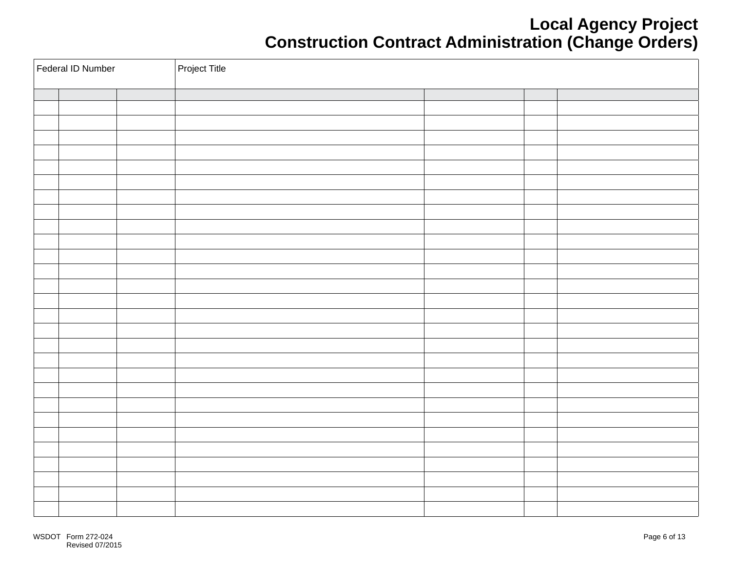#### **Local Agency Project Construction Contract Administration (Change Orders)**

| Federal ID Number |  |  | Project Title |  |  |  |  |  |
|-------------------|--|--|---------------|--|--|--|--|--|
|                   |  |  |               |  |  |  |  |  |
|                   |  |  |               |  |  |  |  |  |
|                   |  |  |               |  |  |  |  |  |
|                   |  |  |               |  |  |  |  |  |
|                   |  |  |               |  |  |  |  |  |
|                   |  |  |               |  |  |  |  |  |
|                   |  |  |               |  |  |  |  |  |
|                   |  |  |               |  |  |  |  |  |
|                   |  |  |               |  |  |  |  |  |
|                   |  |  |               |  |  |  |  |  |
|                   |  |  |               |  |  |  |  |  |
|                   |  |  |               |  |  |  |  |  |
|                   |  |  |               |  |  |  |  |  |
|                   |  |  |               |  |  |  |  |  |
|                   |  |  |               |  |  |  |  |  |
|                   |  |  |               |  |  |  |  |  |
|                   |  |  |               |  |  |  |  |  |
|                   |  |  |               |  |  |  |  |  |
|                   |  |  |               |  |  |  |  |  |
|                   |  |  |               |  |  |  |  |  |
|                   |  |  |               |  |  |  |  |  |
|                   |  |  |               |  |  |  |  |  |
|                   |  |  |               |  |  |  |  |  |
|                   |  |  |               |  |  |  |  |  |
|                   |  |  |               |  |  |  |  |  |
|                   |  |  |               |  |  |  |  |  |
|                   |  |  |               |  |  |  |  |  |
|                   |  |  |               |  |  |  |  |  |
|                   |  |  |               |  |  |  |  |  |
|                   |  |  |               |  |  |  |  |  |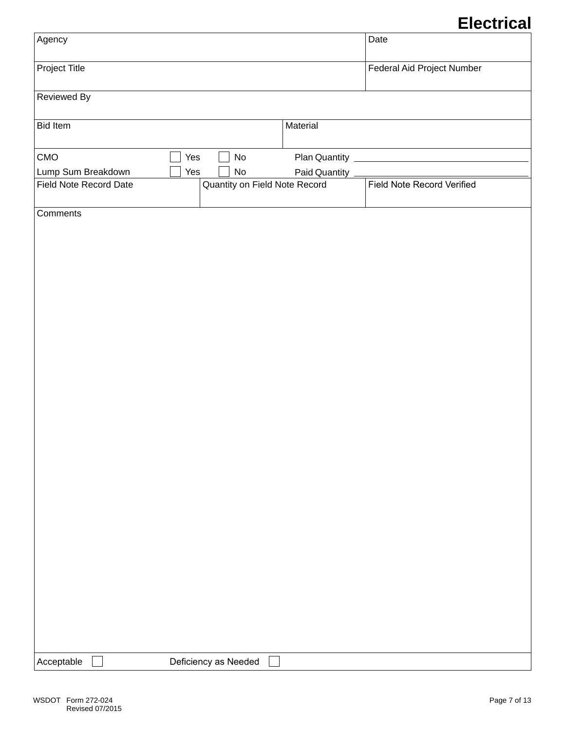## **Electrical**

|                               |                                     |               | LIVULIVUI                         |
|-------------------------------|-------------------------------------|---------------|-----------------------------------|
| Agency                        |                                     |               | Date                              |
| <b>Project Title</b>          |                                     |               | Federal Aid Project Number        |
| Reviewed By                   |                                     |               |                                   |
| <b>Bid Item</b>               |                                     | Material      |                                   |
| CMO                           | Yes<br>$\operatorname{\mathsf{No}}$ |               |                                   |
| Lump Sum Breakdown            | Yes<br>$\operatorname{\mathsf{No}}$ | Paid Quantity |                                   |
| <b>Field Note Record Date</b> | Quantity on Field Note Record       |               | <b>Field Note Record Verified</b> |
|                               |                                     |               |                                   |
| Comments                      |                                     |               |                                   |
|                               |                                     |               |                                   |
|                               |                                     |               |                                   |
|                               |                                     |               |                                   |
|                               |                                     |               |                                   |
|                               |                                     |               |                                   |
|                               |                                     |               |                                   |
|                               |                                     |               |                                   |
|                               |                                     |               |                                   |
| Acceptable                    | Deficiency as Needed                |               |                                   |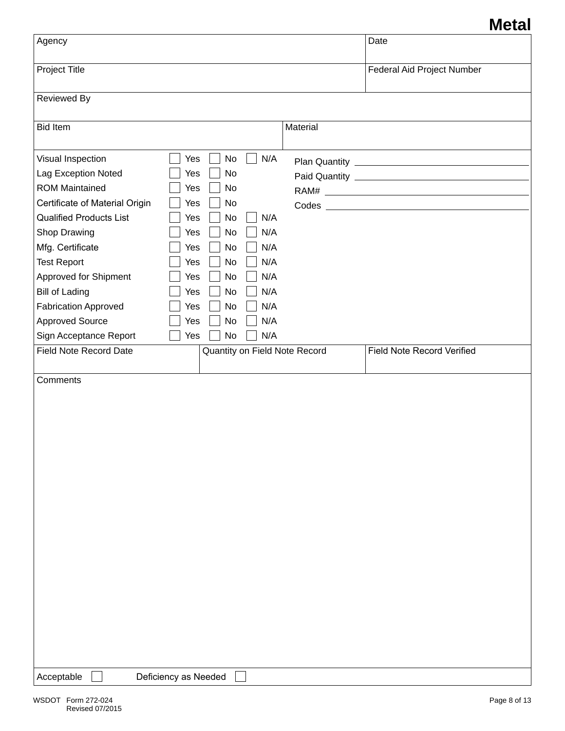#### **Metal**

| Agency                                                                                                                                                                                                                                                                                                                                                                            |                                                                                                                                                                                                                                                                              |          | Date                              |
|-----------------------------------------------------------------------------------------------------------------------------------------------------------------------------------------------------------------------------------------------------------------------------------------------------------------------------------------------------------------------------------|------------------------------------------------------------------------------------------------------------------------------------------------------------------------------------------------------------------------------------------------------------------------------|----------|-----------------------------------|
| Project Title                                                                                                                                                                                                                                                                                                                                                                     |                                                                                                                                                                                                                                                                              |          | Federal Aid Project Number        |
| <b>Reviewed By</b>                                                                                                                                                                                                                                                                                                                                                                |                                                                                                                                                                                                                                                                              |          |                                   |
| <b>Bid Item</b>                                                                                                                                                                                                                                                                                                                                                                   |                                                                                                                                                                                                                                                                              | Material |                                   |
| Visual Inspection<br>Lag Exception Noted<br><b>ROM Maintained</b><br>Certificate of Material Origin<br><b>Qualified Products List</b><br>Shop Drawing<br>Mfg. Certificate<br><b>Test Report</b><br>Approved for Shipment<br><b>Bill of Lading</b><br><b>Fabrication Approved</b><br><b>Approved Source</b><br>Sign Acceptance Report<br><b>Field Note Record Date</b><br>Comments | No<br>N/A<br>Yes<br>Yes<br>No<br>Yes<br>No<br>Yes<br>No<br>Yes<br>No<br>N/A<br>N/A<br>No<br>Yes<br>N/A<br>Yes<br>No<br>No<br>N/A<br>Yes<br>N/A<br>No<br>Yes<br>N/A<br>Yes<br>No<br>No<br>N/A<br>Yes<br>N/A<br>No<br>Yes<br>N/A<br>No<br>Yes<br>Quantity on Field Note Record |          | <b>Field Note Record Verified</b> |
| Acceptable                                                                                                                                                                                                                                                                                                                                                                        | Deficiency as Needed                                                                                                                                                                                                                                                         |          |                                   |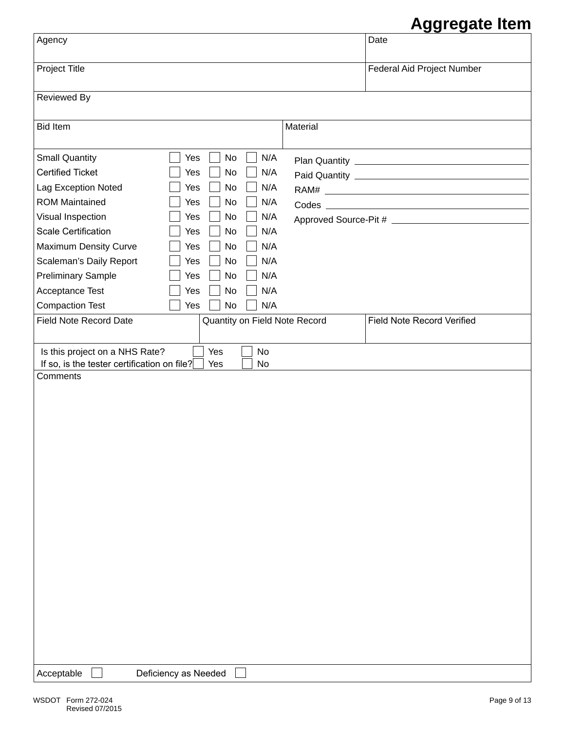## **Aggregate Item**

|                                                                                                                     | Ayyı cyalcı ilgili         |
|---------------------------------------------------------------------------------------------------------------------|----------------------------|
| Agency                                                                                                              | Date                       |
| Project Title                                                                                                       | Federal Aid Project Number |
| Reviewed By                                                                                                         |                            |
|                                                                                                                     |                            |
| <b>Bid Item</b><br>Material                                                                                         |                            |
| N/A<br><b>Small Quantity</b><br>No<br>Yes                                                                           |                            |
| <b>Certified Ticket</b><br>No<br>N/A<br>Yes                                                                         |                            |
| N/A<br>Lag Exception Noted<br>No<br>Yes                                                                             |                            |
| <b>ROM Maintained</b><br>N/A<br>No<br>Yes                                                                           |                            |
| Visual Inspection<br>No<br>N/A<br>Yes                                                                               |                            |
| <b>Scale Certification</b><br>N/A<br>Yes<br>No                                                                      |                            |
| Maximum Density Curve<br>N/A<br>No<br>Yes                                                                           |                            |
| Scaleman's Daily Report<br>N/A<br>No<br>Yes                                                                         |                            |
| <b>Preliminary Sample</b><br>N/A<br>No<br>Yes                                                                       |                            |
| N/A<br>Acceptance Test<br>No<br>Yes                                                                                 |                            |
| N/A<br><b>Compaction Test</b><br>No<br>Yes                                                                          |                            |
| <b>Field Note Record Date</b><br>Quantity on Field Note Record                                                      | Field Note Record Verified |
| Yes<br>No<br>Is this project on a NHS Rate?<br>If so, is the tester certification on file?<br>Yes<br>No<br>Comments |                            |
| Acceptable<br>Deficiency as Needed                                                                                  |                            |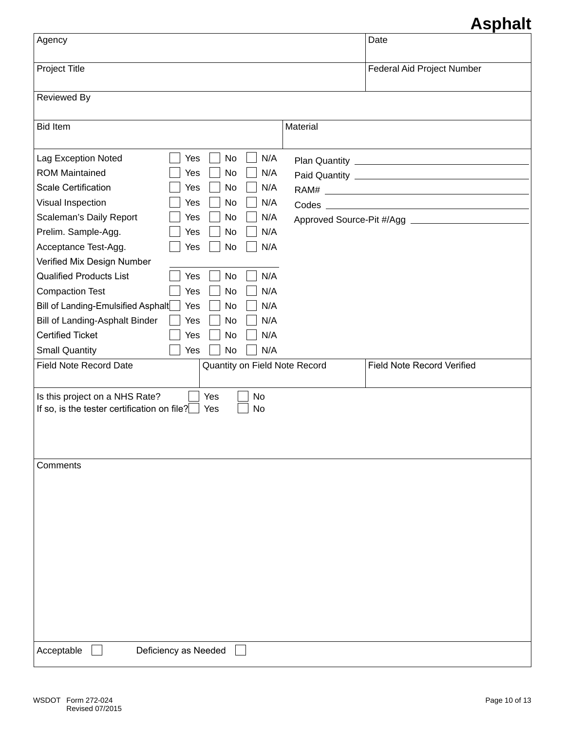## **Asphalt**

|                                                                               |                               |          | naphan                            |
|-------------------------------------------------------------------------------|-------------------------------|----------|-----------------------------------|
| Agency                                                                        |                               |          | Date                              |
| Project Title                                                                 |                               |          | Federal Aid Project Number        |
| <b>Reviewed By</b>                                                            |                               |          |                                   |
|                                                                               |                               |          |                                   |
| <b>Bid Item</b>                                                               |                               | Material |                                   |
|                                                                               |                               |          |                                   |
| Lag Exception Noted<br>Yes                                                    | N/A<br>No                     |          |                                   |
| <b>ROM Maintained</b><br>Yes                                                  | N/A<br>No                     |          |                                   |
| <b>Scale Certification</b><br>Yes                                             | N/A<br>No                     |          |                                   |
| Visual Inspection<br>Yes                                                      | N/A<br>No                     |          |                                   |
| Scaleman's Daily Report<br>Yes                                                | N/A<br>No                     |          |                                   |
| Prelim. Sample-Agg.<br>Yes                                                    | N/A<br>No                     |          |                                   |
| Acceptance Test-Agg.<br>Yes                                                   | N/A<br>No                     |          |                                   |
| Verified Mix Design Number                                                    |                               |          |                                   |
| <b>Qualified Products List</b><br>Yes                                         | No<br>N/A                     |          |                                   |
| <b>Compaction Test</b><br>Yes                                                 | N/A<br>No                     |          |                                   |
| Bill of Landing-Emulsified Asphalt<br>Yes                                     | N/A<br>No                     |          |                                   |
| Bill of Landing-Asphalt Binder<br>Yes                                         | N/A<br>No                     |          |                                   |
| <b>Certified Ticket</b><br>Yes                                                | N/A<br>No                     |          |                                   |
| <b>Small Quantity</b><br>Yes                                                  | N/A<br>No                     |          |                                   |
| <b>Field Note Record Date</b>                                                 | Quantity on Field Note Record |          | <b>Field Note Record Verified</b> |
|                                                                               |                               |          |                                   |
| Is this project on a NHS Rate?<br>If so, is the tester certification on file? | Yes<br>No<br>No<br>Yes        |          |                                   |
|                                                                               |                               |          |                                   |
|                                                                               |                               |          |                                   |
|                                                                               |                               |          |                                   |
| Comments                                                                      |                               |          |                                   |
|                                                                               |                               |          |                                   |
|                                                                               |                               |          |                                   |
|                                                                               |                               |          |                                   |
|                                                                               |                               |          |                                   |
|                                                                               |                               |          |                                   |
|                                                                               |                               |          |                                   |
|                                                                               |                               |          |                                   |
|                                                                               |                               |          |                                   |
|                                                                               |                               |          |                                   |
|                                                                               |                               |          |                                   |
|                                                                               |                               |          |                                   |
|                                                                               |                               |          |                                   |
| Acceptable<br>Deficiency as Needed                                            |                               |          |                                   |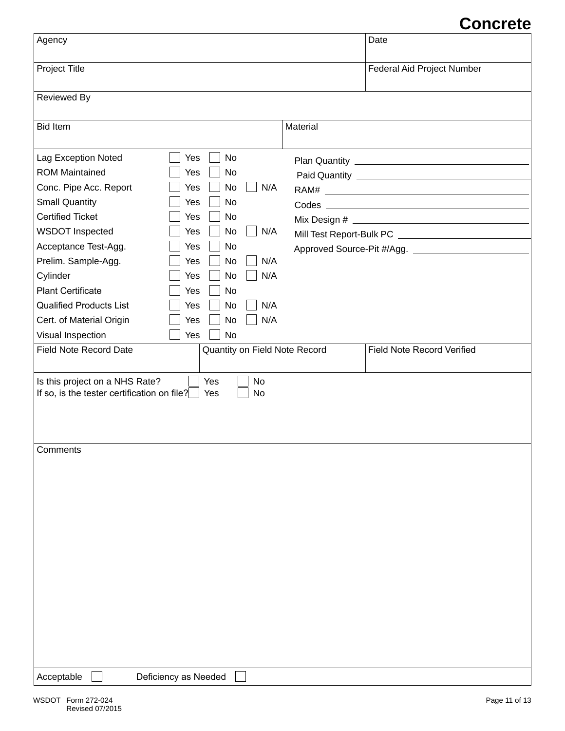## **Concrete**

| Agency                                                                                                                                                                                                                                                                                                                         |                                                                                                                                                                                                                                      |          | VIIVI VLV<br>Date                 |
|--------------------------------------------------------------------------------------------------------------------------------------------------------------------------------------------------------------------------------------------------------------------------------------------------------------------------------|--------------------------------------------------------------------------------------------------------------------------------------------------------------------------------------------------------------------------------------|----------|-----------------------------------|
| Project Title                                                                                                                                                                                                                                                                                                                  |                                                                                                                                                                                                                                      |          | Federal Aid Project Number        |
| <b>Reviewed By</b>                                                                                                                                                                                                                                                                                                             |                                                                                                                                                                                                                                      |          |                                   |
| <b>Bid Item</b>                                                                                                                                                                                                                                                                                                                |                                                                                                                                                                                                                                      | Material |                                   |
| Lag Exception Noted<br><b>ROM Maintained</b><br>Conc. Pipe Acc. Report<br><b>Small Quantity</b><br><b>Certified Ticket</b><br><b>WSDOT Inspected</b><br>Acceptance Test-Agg.<br>Prelim. Sample-Agg.<br>Cylinder<br><b>Plant Certificate</b><br><b>Qualified Products List</b><br>Cert. of Material Origin<br>Visual Inspection | Yes<br>No<br>Yes<br>No<br><b>No</b><br>N/A<br>Yes<br>No<br>Yes<br>Yes<br>No<br><b>No</b><br>Yes<br>N/A<br>No<br>Yes<br>Yes<br>No<br>N/A<br>No<br>N/A<br>Yes<br>No<br>Yes<br>N/A<br>Yes<br>No<br>No<br>N/A<br>Yes<br><b>No</b><br>Yes |          |                                   |
| <b>Field Note Record Date</b>                                                                                                                                                                                                                                                                                                  | Quantity on Field Note Record                                                                                                                                                                                                        |          | <b>Field Note Record Verified</b> |
| Is this project on a NHS Rate?<br>If so, is the tester certification on file?                                                                                                                                                                                                                                                  | Yes<br>No<br>No<br>Yes                                                                                                                                                                                                               |          |                                   |
| Comments                                                                                                                                                                                                                                                                                                                       |                                                                                                                                                                                                                                      |          |                                   |
| Acceptable                                                                                                                                                                                                                                                                                                                     | Deficiency as Needed                                                                                                                                                                                                                 |          |                                   |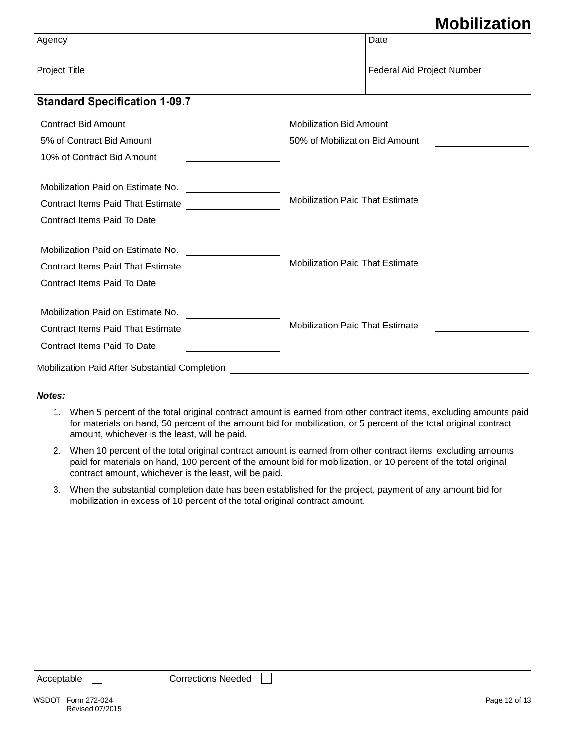# **Mobilization**

| Agency                                                                       |                                                                                                                                                                                                                                                                                              | Date                                                                    |  |
|------------------------------------------------------------------------------|----------------------------------------------------------------------------------------------------------------------------------------------------------------------------------------------------------------------------------------------------------------------------------------------|-------------------------------------------------------------------------|--|
| Project Title                                                                |                                                                                                                                                                                                                                                                                              | Federal Aid Project Number                                              |  |
|                                                                              | <b>Standard Specification 1-09.7</b>                                                                                                                                                                                                                                                         |                                                                         |  |
| <b>Contract Bid Amount</b>                                                   |                                                                                                                                                                                                                                                                                              | <b>Mobilization Bid Amount</b>                                          |  |
| 5% of Contract Bid Amount                                                    |                                                                                                                                                                                                                                                                                              | 50% of Mobilization Bid Amount<br><u> 1980 - Jan Barbara III, martx</u> |  |
| 10% of Contract Bid Amount<br>the control of the control of the control of   |                                                                                                                                                                                                                                                                                              |                                                                         |  |
| Mobilization Paid on Estimate No.<br><u> 1989 - Andrea Station Barbara (</u> |                                                                                                                                                                                                                                                                                              |                                                                         |  |
| <b>Contract Items Paid That Estimate</b>                                     |                                                                                                                                                                                                                                                                                              | <b>Mobilization Paid That Estimate</b>                                  |  |
|                                                                              | Contract Items Paid To Date                                                                                                                                                                                                                                                                  |                                                                         |  |
|                                                                              |                                                                                                                                                                                                                                                                                              |                                                                         |  |
| Contract Items Paid That Estimate                                            |                                                                                                                                                                                                                                                                                              | <b>Mobilization Paid That Estimate</b>                                  |  |
| Contract Items Paid To Date                                                  |                                                                                                                                                                                                                                                                                              |                                                                         |  |
|                                                                              |                                                                                                                                                                                                                                                                                              |                                                                         |  |
|                                                                              | Contract Items Paid That Estimate                                                                                                                                                                                                                                                            | <b>Mobilization Paid That Estimate</b>                                  |  |
| <b>Contract Items Paid To Date</b>                                           |                                                                                                                                                                                                                                                                                              |                                                                         |  |
|                                                                              | Mobilization Paid After Substantial Completion [1989] [2009] [2009] [2009] [2009] [2009] [2009] [2009] [2009] [                                                                                                                                                                              |                                                                         |  |
| Notes:                                                                       |                                                                                                                                                                                                                                                                                              |                                                                         |  |
|                                                                              | 1. When 5 percent of the total original contract amount is earned from other contract items, excluding amounts paid<br>for materials on hand, 50 percent of the amount bid for mobilization, or 5 percent of the total original contract<br>amount, whichever is the least, will be paid.    |                                                                         |  |
|                                                                              | 2. When 10 percent of the total original contract amount is earned from other contract items, excluding amounts<br>paid for materials on hand, 100 percent of the amount bid for mobilization, or 10 percent of the total original<br>contract amount, whichever is the least, will be paid. |                                                                         |  |
|                                                                              | 3. When the substantial completion date has been established for the project, payment of any amount bid for                                                                                                                                                                                  |                                                                         |  |

mobilization in excess of 10 percent of the total original contract amount.

| Acceptable |  |
|------------|--|
|------------|--|

Corrections Needed